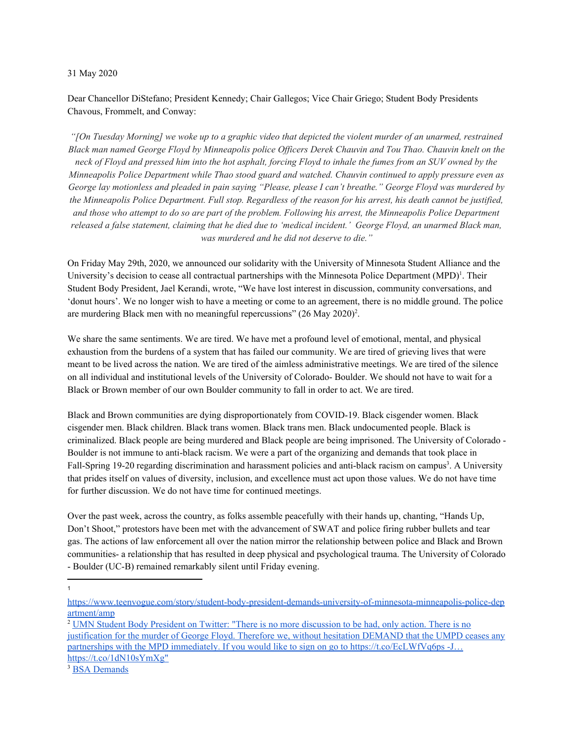## 31 May 2020

Dear Chancellor DiStefano; President Kennedy; Chair Gallegos; Vice Chair Griego; Student Body Presidents Chavous, Frommelt, and Conway:

"[On Tuesday Morning] we woke up to a graphic video that depicted the violent murder of an unarmed, restrained Black man named George Floyd by Minneapolis police Officers Derek Chauvin and Tou Thao. Chauvin knelt on the neck of Floyd and pressed him into the hot asphalt, forcing Floyd to inhale the fumes from an SUV owned by the *Minneapolis Police Department while Thao stood guard and watched. Chauvin continued to apply pressure even as* George lay motionless and pleaded in pain saying "Please, please I can't breathe." George Floyd was murdered by the Minneapolis Police Department. Full stop. Regardless of the reason for his arrest, his death cannot be justified, and those who attempt to do so are part of the problem. Following his arrest, the Minneapolis Police Department released a false statement, claiming that he died due to 'medical incident.' George Floyd, an unarmed Black man, *was murdered and he did not deserve to die."*

On Friday May 29th, 2020, we announced our solidarity with the University of Minnesota Student Alliance and the University's decision to cease all contractual partnerships with the Minnesota Police Department (MPD)<sup>1</sup>. Their Student Body President, Jael Kerandi, wrote, "We have lost interest in discussion, community conversations, and 'donut hours'. We no longer wish to have a meeting or come to an agreement, there is no middle ground. The police are murdering Black men with no meaningful repercussions"  $(26$  May  $2020)^2$ .

We share the same sentiments. We are tired. We have met a profound level of emotional, mental, and physical exhaustion from the burdens of a system that has failed our community. We are tired of grieving lives that were meant to be lived across the nation. We are tired of the aimless administrative meetings. We are tired of the silence on all individual and institutional levels of the University of Colorado- Boulder. We should not have to wait for a Black or Brown member of our own Boulder community to fall in order to act. We are tired.

Black and Brown communities are dying disproportionately from COVID-19. Black cisgender women. Black cisgender men. Black children. Black trans women. Black trans men. Black undocumented people. Black is criminalized. Black people are being murdered and Black people are being imprisoned. The University of Colorado - Boulder is not immune to anti-black racism. We were a part of the organizing and demands that took place in Fall-Spring 19-20 regarding discrimination and harassment policies and anti-black racism on campus<sup>3</sup>. A University that prides itself on values of diversity, inclusion, and excellence must act upon those values. We do not have time for further discussion. We do not have time for continued meetings.

Over the past week, across the country, as folks assemble peacefully with their hands up, chanting, "Hands Up, Don't Shoot," protestors have been met with the advancement of SWAT and police firing rubber bullets and tear gas. The actions of law enforcement all over the nation mirror the relationship between police and Black and Brown communities- a relationship that has resulted in deep physical and psychological trauma. The University of Colorado - Boulder (UC-B) remained remarkably silent until Friday evening.

1

[https://www.teenvogue.com/story/student-body-president-demands-university-of-minnesota-minneapolis-police-dep](https://www.teenvogue.com/story/student-body-president-demands-university-of-minnesota-minneapolis-police-department/amp) [artment/amp](https://www.teenvogue.com/story/student-body-president-demands-university-of-minnesota-minneapolis-police-department/amp)

<sup>2</sup> UMN Student Body President on Twitter: "There is no more [discussion](https://twitter.com/UMN_SBP/status/1265473326404775937/photo/1) to be had, only action. There is no [justification](https://twitter.com/UMN_SBP/status/1265473326404775937/photo/1) for the murder of George Floyd. Therefore we, without hesitation DEMAND that the UMPD ceases any partnerships with the MPD immediately. If you would like to sign on go to [https://t.co/EcLWfVq6ps](https://twitter.com/UMN_SBP/status/1265473326404775937/photo/1) -J… [https://t.co/1dN10sYmXg"](https://twitter.com/UMN_SBP/status/1265473326404775937/photo/1)

<sup>&</sup>lt;sup>3</sup> BSA [Demands](https://drive.google.com/open?id=1v5FBxFsvW9aROFn51ZgEvxA5yDnOXMGs)